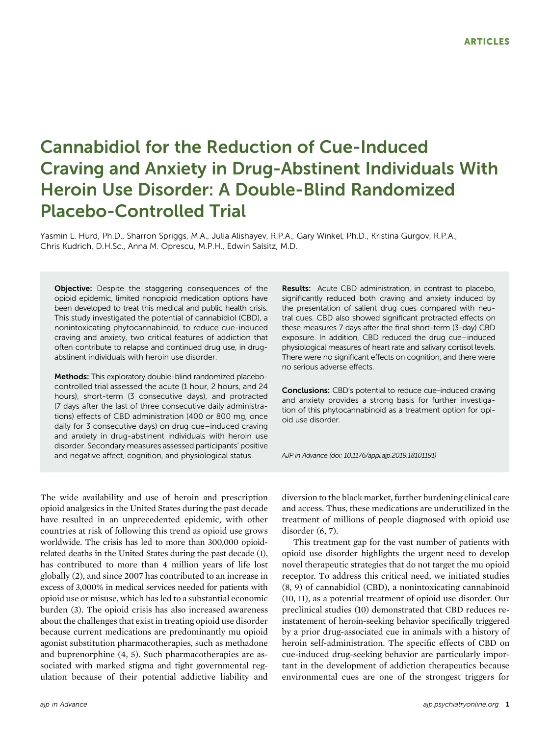# Cannabidiol for the Reduction of Cue-Induced Craving and Anxiety in Drug-Abstinent Individuals With Heroin Use Disorder: A Double-Blind Randomized Placebo-Controlled Trial

Yasmin L. Hurd, Ph.D., Sharron Spriggs, M.A., Julia Alishayev, R.P.A., Gary Winkel, Ph.D., Kristina Gurgov, R.P.A., Chris Kudrich, D.H.Sc., Anna M. Oprescu, M.P.H., Edwin Salsitz, M.D.

**Objective:** Despite the staggering consequences of the opioid epidemic, limited nonopioid medication options have been developed to treat this medical and public health crisis. This study investigated the potential of cannabidiol (CBD), a nonintoxicating phytocannabinoid, to reduce cue-induced craving and anxiety, two critical features of addiction that often contribute to relapse and continued drug use, in drugabstinent individuals with heroin use disorder.

Methods: This exploratory double-blind randomized placebocontrolled trial assessed the acute (1 hour, 2 hours, and 24 hours), short-term (3 consecutive days), and protracted (7 days after the last of three consecutive daily administrations) effects of CBD administration (400 or 800 mg, once daily for 3 consecutive days) on drug cue–induced craving and anxiety in drug-abstinent individuals with heroin use disorder. Secondary measures assessed participants' positive and negative affect, cognition, and physiological status.

The wide availability and use of heroin and prescription opioid analgesics in the United States during the past decade have resulted in an unprecedented epidemic, with other countries at risk of following this trend as opioid use grows worldwide. The crisis has led to more than 300,000 opioidrelated deaths in the United States during the past decade (1), has contributed to more than 4 million years of life lost globally (2), and since 2007 has contributed to an increase in excess of 3,000% in medical services needed for patients with opioid use or misuse, which has led to a substantial economic burden (3). The opioid crisis has also increased awareness about the challenges that exist in treating opioid use disorder because current medications are predominantly mu opioid agonist substitution pharmacotherapies, such as methadone and buprenorphine (4, 5). Such pharmacotherapies are associated with marked stigma and tight governmental regulation because of their potential addictive liability and Results: Acute CBD administration, in contrast to placebo, significantly reduced both craving and anxiety induced by the presentation of salient drug cues compared with neutral cues. CBD also showed significant protracted effects on these measures 7 days after the final short-term (3-day) CBD exposure. In addition, CBD reduced the drug cue–induced physiological measures of heart rate and salivary cortisol levels. There were no significant effects on cognition, and there were no serious adverse effects.

Conclusions: CBD's potential to reduce cue-induced craving and anxiety provides a strong basis for further investigation of this phytocannabinoid as a treatment option for opioid use disorder.

AJP in Advance (doi: 10.1176/appi.ajp.2019.18101191)

diversion to the black market, further burdening clinical care and access. Thus, these medications are underutilized in the treatment of millions of people diagnosed with opioid use disorder (6, 7).

This treatment gap for the vast number of patients with opioid use disorder highlights the urgent need to develop novel therapeutic strategies that do not target the mu opioid receptor. To address this critical need, we initiated studies (8, 9) of cannabidiol (CBD), a nonintoxicating cannabinoid (10, 11), as a potential treatment of opioid use disorder. Our preclinical studies (10) demonstrated that CBD reduces reinstatement of heroin-seeking behavior specifically triggered by a prior drug-associated cue in animals with a history of heroin self-administration. The specific effects of CBD on cue-induced drug-seeking behavior are particularly important in the development of addiction therapeutics because environmental cues are one of the strongest triggers for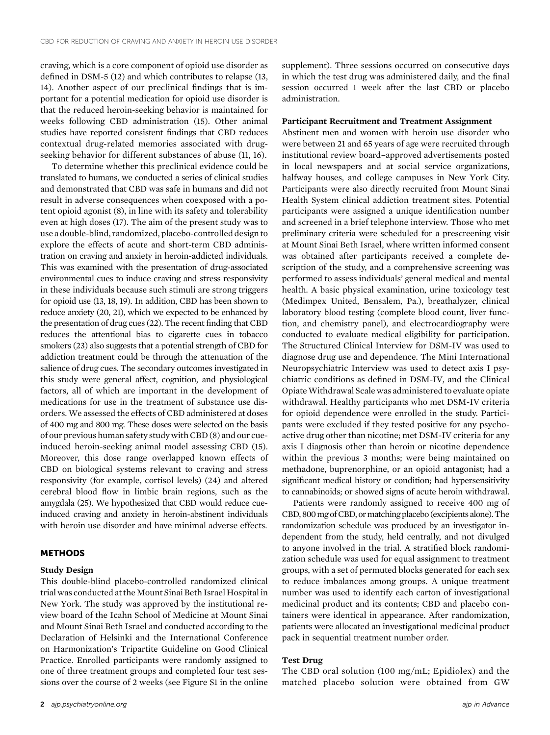craving, which is a core component of opioid use disorder as defined in DSM-5 (12) and which contributes to relapse (13, 14). Another aspect of our preclinical findings that is important for a potential medication for opioid use disorder is that the reduced heroin-seeking behavior is maintained for weeks following CBD administration (15). Other animal studies have reported consistent findings that CBD reduces contextual drug-related memories associated with drugseeking behavior for different substances of abuse (11, 16).

To determine whether this preclinical evidence could be translated to humans, we conducted a series of clinical studies and demonstrated that CBD was safe in humans and did not result in adverse consequences when coexposed with a potent opioid agonist (8), in line with its safety and tolerability even at high doses (17). The aim of the present study was to use a double-blind, randomized, placebo-controlled design to explore the effects of acute and short-term CBD administration on craving and anxiety in heroin-addicted individuals. This was examined with the presentation of drug-associated environmental cues to induce craving and stress responsivity in these individuals because such stimuli are strong triggers for opioid use (13, 18, 19). In addition, CBD has been shown to reduce anxiety (20, 21), which we expected to be enhanced by the presentation of drug cues (22). The recent finding that CBD reduces the attentional bias to cigarette cues in tobacco smokers (23) also suggests that a potential strength of CBD for addiction treatment could be through the attenuation of the salience of drug cues. The secondary outcomes investigated in this study were general affect, cognition, and physiological factors, all of which are important in the development of medications for use in the treatment of substance use disorders. We assessed the effects of CBD administered at doses of 400 mg and 800 mg. These doses were selected on the basis of our previous human safety study with CBD (8) and our cueinduced heroin-seeking animal model assessing CBD (15). Moreover, this dose range overlapped known effects of CBD on biological systems relevant to craving and stress responsivity (for example, cortisol levels) (24) and altered cerebral blood flow in limbic brain regions, such as the amygdala (25). We hypothesized that CBD would reduce cueinduced craving and anxiety in heroin-abstinent individuals with heroin use disorder and have minimal adverse effects.

#### METHODS

#### Study Design

This double-blind placebo-controlled randomized clinical trial was conducted at the Mount Sinai Beth Israel Hospital in New York. The study was approved by the institutional review board of the Icahn School of Medicine at Mount Sinai and Mount Sinai Beth Israel and conducted according to the Declaration of Helsinki and the International Conference on Harmonization's Tripartite Guideline on Good Clinical Practice. Enrolled participants were randomly assigned to one of three treatment groups and completed four test sessions over the course of 2 weeks (see Figure S1 in the online

supplement). Three sessions occurred on consecutive days in which the test drug was administered daily, and the final session occurred 1 week after the last CBD or placebo administration.

# Participant Recruitment and Treatment Assignment

Abstinent men and women with heroin use disorder who were between 21 and 65 years of age were recruited through institutional review board–approved advertisements posted in local newspapers and at social service organizations, halfway houses, and college campuses in New York City. Participants were also directly recruited from Mount Sinai Health System clinical addiction treatment sites. Potential participants were assigned a unique identification number and screened in a brief telephone interview. Those who met preliminary criteria were scheduled for a prescreening visit at Mount Sinai Beth Israel, where written informed consent was obtained after participants received a complete description of the study, and a comprehensive screening was performed to assess individuals' general medical and mental health. A basic physical examination, urine toxicology test (Medimpex United, Bensalem, Pa.), breathalyzer, clinical laboratory blood testing (complete blood count, liver function, and chemistry panel), and electrocardiography were conducted to evaluate medical eligibility for participation. The Structured Clinical Interview for DSM-IV was used to diagnose drug use and dependence. The Mini International Neuropsychiatric Interview was used to detect axis I psychiatric conditions as defined in DSM-IV, and the Clinical Opiate Withdrawal Scale was administered to evaluate opiate withdrawal. Healthy participants who met DSM-IV criteria for opioid dependence were enrolled in the study. Participants were excluded if they tested positive for any psychoactive drug other than nicotine; met DSM-IV criteria for any axis I diagnosis other than heroin or nicotine dependence within the previous 3 months; were being maintained on methadone, buprenorphine, or an opioid antagonist; had a significant medical history or condition; had hypersensitivity to cannabinoids; or showed signs of acute heroin withdrawal.

Patients were randomly assigned to receive 400 mg of CBD, 800 mg of CBD, or matching placebo (excipients alone). The randomization schedule was produced by an investigator independent from the study, held centrally, and not divulged to anyone involved in the trial. A stratified block randomization schedule was used for equal assignment to treatment groups, with a set of permuted blocks generated for each sex to reduce imbalances among groups. A unique treatment number was used to identify each carton of investigational medicinal product and its contents; CBD and placebo containers were identical in appearance. After randomization, patients were allocated an investigational medicinal product pack in sequential treatment number order.

#### Test Drug

The CBD oral solution (100 mg/mL; Epidiolex) and the matched placebo solution were obtained from GW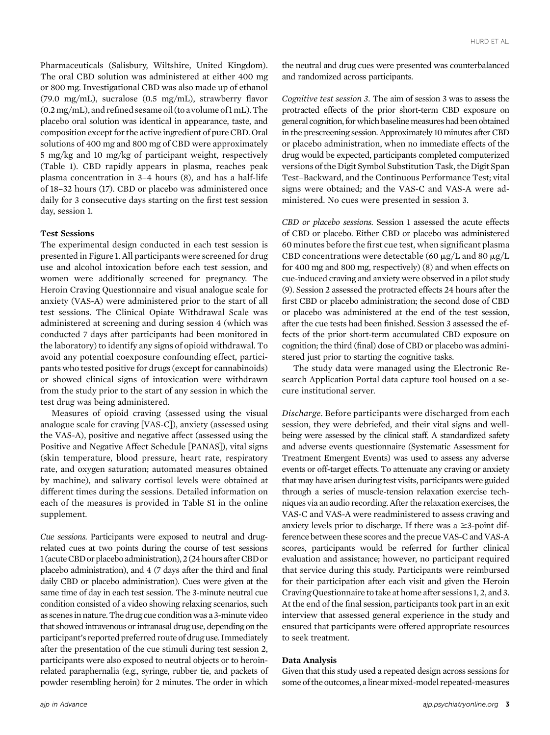Pharmaceuticals (Salisbury, Wiltshire, United Kingdom). The oral CBD solution was administered at either 400 mg or 800 mg. Investigational CBD was also made up of ethanol (79.0 mg/mL), sucralose (0.5 mg/mL), strawberry flavor  $(0.2 \,\mathrm{mg/mL})$ , and refined sesame oil (to a volume of 1 mL). The placebo oral solution was identical in appearance, taste, and composition except for the active ingredient of pure CBD. Oral solutions of 400 mg and 800 mg of CBD were approximately 5 mg/kg and 10 mg/kg of participant weight, respectively (Table 1). CBD rapidly appears in plasma, reaches peak plasma concentration in 3–4 hours (8), and has a half-life of 18–32 hours (17). CBD or placebo was administered once daily for 3 consecutive days starting on the first test session day, session 1.

#### Test Sessions

The experimental design conducted in each test session is presented in Figure 1. All participants were screened for drug use and alcohol intoxication before each test session, and women were additionally screened for pregnancy. The Heroin Craving Questionnaire and visual analogue scale for anxiety (VAS-A) were administered prior to the start of all test sessions. The Clinical Opiate Withdrawal Scale was administered at screening and during session 4 (which was conducted 7 days after participants had been monitored in the laboratory) to identify any signs of opioid withdrawal. To avoid any potential coexposure confounding effect, participants who tested positive for drugs (except for cannabinoids) or showed clinical signs of intoxication were withdrawn from the study prior to the start of any session in which the test drug was being administered.

Measures of opioid craving (assessed using the visual analogue scale for craving [VAS-C]), anxiety (assessed using the VAS-A), positive and negative affect (assessed using the Positive and Negative Affect Schedule [PANAS]), vital signs (skin temperature, blood pressure, heart rate, respiratory rate, and oxygen saturation; automated measures obtained by machine), and salivary cortisol levels were obtained at different times during the sessions. Detailed information on each of the measures is provided in Table S1 in the online supplement.

Cue sessions. Participants were exposed to neutral and drugrelated cues at two points during the course of test sessions 1 (acuteCBD or placeboadministration), 2 (24hoursafterCBD or placebo administration), and 4 (7 days after the third and final daily CBD or placebo administration). Cues were given at the same time of day in each test session. The 3-minute neutral cue condition consisted of a video showing relaxing scenarios, such as scenesin nature. The drug cue condition was a 3-minute video that showed intravenous or intranasal drug use, depending on the participant's reported preferred route of drug use. Immediately after the presentation of the cue stimuli during test session 2, participants were also exposed to neutral objects or to heroinrelated paraphernalia (e.g., syringe, rubber tie, and packets of powder resembling heroin) for 2 minutes. The order in which

the neutral and drug cues were presented was counterbalanced and randomized across participants.

Cognitive test session 3. The aim of session 3 was to assess the protracted effects of the prior short-term CBD exposure on general cognition, for which baseline measures had been obtained in the prescreening session. Approximately 10 minutes after CBD or placebo administration, when no immediate effects of the drug would be expected, participants completed computerized versions of the Digit Symbol Substitution Task, the Digit Span Test–Backward, and the Continuous Performance Test; vital signs were obtained; and the VAS-C and VAS-A were administered. No cues were presented in session 3.

CBD or placebo sessions. Session 1 assessed the acute effects of CBD or placebo. Either CBD or placebo was administered 60 minutes before the first cue test, when significant plasma CBD concentrations were detectable (60  $\mu$ g/L and 80  $\mu$ g/L for 400 mg and 800 mg, respectively) (8) and when effects on cue-induced craving and anxiety were observed in a pilot study (9). Session 2 assessed the protracted effects 24 hours after the first CBD or placebo administration; the second dose of CBD or placebo was administered at the end of the test session, after the cue tests had been finished. Session 3 assessed the effects of the prior short-term accumulated CBD exposure on cognition; the third (final) dose of CBD or placebo was administered just prior to starting the cognitive tasks.

The study data were managed using the Electronic Research Application Portal data capture tool housed on a secure institutional server.

Discharge. Before participants were discharged from each session, they were debriefed, and their vital signs and wellbeing were assessed by the clinical staff. A standardized safety and adverse events questionnaire (Systematic Assessment for Treatment Emergent Events) was used to assess any adverse events or off-target effects. To attenuate any craving or anxiety that may have arisen during test visits, participants were guided through a series of muscle-tension relaxation exercise techniques via an audio recording. After the relaxation exercises, the VAS-C and VAS-A were readministered to assess craving and anxiety levels prior to discharge. If there was a  $\geq$ 3-point difference between these scores and the precue VAS-C and VAS-A scores, participants would be referred for further clinical evaluation and assistance; however, no participant required that service during this study. Participants were reimbursed for their participation after each visit and given the Heroin Craving Questionnaire to take at home after sessions 1, 2, and 3. At the end of the final session, participants took part in an exit interview that assessed general experience in the study and ensured that participants were offered appropriate resources to seek treatment.

## Data Analysis

Given that this study used a repeated design across sessions for some of the outcomes, a linear mixed-model repeated-measures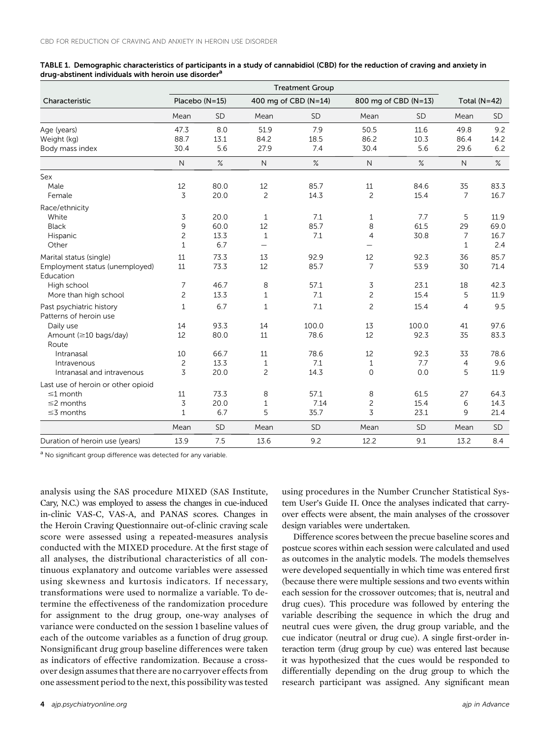| Characteristic                                     | <b>Treatment Group</b> |           |                          |           |                      |           |                |           |
|----------------------------------------------------|------------------------|-----------|--------------------------|-----------|----------------------|-----------|----------------|-----------|
|                                                    | Placebo (N=15)         |           | 400 mg of CBD (N=14)     |           | 800 mg of CBD (N=13) |           | Total $(N=42)$ |           |
|                                                    | Mean                   | <b>SD</b> | Mean                     | <b>SD</b> | Mean                 | <b>SD</b> | Mean           | <b>SD</b> |
| Age (years)                                        | 47.3                   | 8.0       | 51.9                     | 7.9       | 50.5                 | 11.6      | 49.8           | 9.2       |
| Weight (kg)                                        | 88.7                   | 13.1      | 84.2                     | 18.5      | 86.2                 | 10.3      | 86.4           | 14.2      |
| Body mass index                                    | 30.4                   | 5.6       | 27.9                     | 7.4       | 30.4                 | 5.6       | 29.6           | 6.2       |
|                                                    | $\mathsf{N}$           | $\%$      | $\mathsf{N}$             | $\%$      | $\mathsf{N}$         | $\%$      | $\mathsf{N}$   | $\%$      |
| Sex                                                |                        |           |                          |           |                      |           |                |           |
| Male                                               | 12                     | 80.0      | 12                       | 85.7      | 11                   | 84.6      | 35             | 83.3      |
| Female                                             | 3                      | 20.0      | 2                        | 14.3      | $\overline{c}$       | 15.4      | $\overline{7}$ | 16.7      |
| Race/ethnicity                                     |                        |           |                          |           |                      |           |                |           |
| White                                              | 3                      | 20.0      | $\mathbf{1}$             | 7.1       | 1                    | 7.7       | 5              | 11.9      |
| <b>Black</b>                                       | 9                      | 60.0      | 12                       | 85.7      | 8                    | 61.5      | 29             | 69.0      |
| Hispanic                                           | $\overline{c}$         | 13.3      | 1                        | 7.1       | $\overline{4}$       | 30.8      | 7              | 16.7      |
| Other                                              | $\mathbf{1}$           | 6.7       | $\overline{\phantom{0}}$ |           |                      |           | $\mathbf{1}$   | 2.4       |
| Marital status (single)                            | 11                     | 73.3      | 13                       | 92.9      | 12                   | 92.3      | 36             | 85.7      |
| Employment status (unemployed)<br>Education        | 11                     | 73.3      | 12                       | 85.7      | $\overline{7}$       | 53.9      | 30             | 71.4      |
| High school                                        | 7                      | 46.7      | 8                        | 57.1      | 3                    | 23.1      | 18             | 42.3      |
| More than high school                              | $\overline{c}$         | 13.3      | 1                        | 7.1       | 2                    | 15.4      | 5              | 11.9      |
| Past psychiatric history<br>Patterns of heroin use | $\mathbf{1}$           | 6.7       | 1                        | 7.1       | $\overline{c}$       | 15.4      | $\overline{4}$ | 9.5       |
| Daily use                                          | 14                     | 93.3      | 14                       | 100.0     | 13                   | 100.0     | 41             | 97.6      |
| Amount $(\geq 10 \text{ bags/day})$                | 12                     | 80.0      | 11                       | 78.6      | 12                   | 92.3      | 35             | 83.3      |
| Route                                              |                        |           |                          |           |                      |           |                |           |
| Intranasal                                         | 10                     | 66.7      | 11                       | 78.6      | 12                   | 92.3      | 33             | 78.6      |
| Intravenous                                        | $\overline{c}$         | 13.3      | $\mathbf{1}$             | 7.1       | $\mathbf{1}$         | 7.7       | 4              | 9.6       |
| Intranasal and intravenous                         | 3                      | 20.0      | $\overline{c}$           | 14.3      | $\mathbf 0$          | 0.0       | 5              | 11.9      |
| Last use of heroin or other opioid                 |                        |           |                          |           |                      |           |                |           |
| $\leq$ 1 month                                     | 11                     | 73.3      | 8                        | 57.1      | 8                    | 61.5      | 27             | 64.3      |
| $\leq$ 2 months                                    | 3                      | 20.0      | $\mathbf{1}$             | 7.14      | $\overline{c}$       | 15.4      | 6              | 14.3      |
| $\leq$ 3 months                                    | $\mathbf{1}$           | 6.7       | 5                        | 35.7      | 3                    | 23.1      | 9              | 21.4      |
|                                                    | Mean                   | SD        | Mean                     | <b>SD</b> | Mean                 | <b>SD</b> | Mean           | <b>SD</b> |
| Duration of heroin use (years)                     | 13.9                   | 7.5       | 13.6                     | 9.2       | 12.2                 | 9.1       | 13.2           | 8.4       |

TABLE 1. Demographic characteristics of participants in a study of cannabidiol (CBD) for the reduction of craving and anxiety in drug-abstinent individuals with heroin use disorder<sup>a</sup>

<sup>a</sup> No significant group difference was detected for any variable.

analysis using the SAS procedure MIXED (SAS Institute, Cary, N.C.) was employed to assess the changes in cue-induced in-clinic VAS-C, VAS-A, and PANAS scores. Changes in the Heroin Craving Questionnaire out-of-clinic craving scale score were assessed using a repeated-measures analysis conducted with the MIXED procedure. At the first stage of all analyses, the distributional characteristics of all continuous explanatory and outcome variables were assessed using skewness and kurtosis indicators. If necessary, transformations were used to normalize a variable. To determine the effectiveness of the randomization procedure for assignment to the drug group, one-way analyses of variance were conducted on the session 1 baseline values of each of the outcome variables as a function of drug group. Nonsignificant drug group baseline differences were taken as indicators of effective randomization. Because a crossover design assumes that there are no carryover effects from one assessment period to the next, this possibility was tested

using procedures in the Number Cruncher Statistical System User's Guide II. Once the analyses indicated that carryover effects were absent, the main analyses of the crossover design variables were undertaken.

Difference scores between the precue baseline scores and postcue scores within each session were calculated and used as outcomes in the analytic models. The models themselves were developed sequentially in which time was entered first (because there were multiple sessions and two events within each session for the crossover outcomes; that is, neutral and drug cues). This procedure was followed by entering the variable describing the sequence in which the drug and neutral cues were given, the drug group variable, and the cue indicator (neutral or drug cue). A single first-order interaction term (drug group by cue) was entered last because it was hypothesized that the cues would be responded to differentially depending on the drug group to which the research participant was assigned. Any significant mean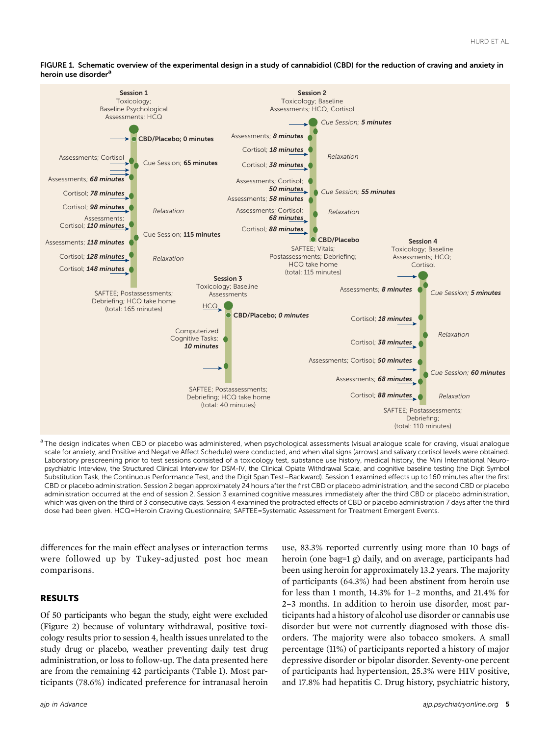FIGURE 1. Schematic overview of the experimental design in a study of cannabidiol (CBD) for the reduction of craving and anxiety in heroin use disorder<sup>a</sup>



<sup>a</sup>The design indicates when CBD or placebo was administered, when psychological assessments (visual analogue scale for craving, visual analogue scale for anxiety, and Positive and Negative Affect Schedule) were conducted, and when vital signs (arrows) and salivary cortisol levels were obtained. Laboratory prescreening prior to test sessions consisted of a toxicology test, substance use history, medical history, the Mini International Neuropsychiatric Interview, the Structured Clinical Interview for DSM-IV, the Clinical Opiate Withdrawal Scale, and cognitive baseline testing (the Digit Symbol Substitution Task, the Continuous Performance Test, and the Digit Span Test–Backward). Session 1 examined effects up to 160 minutes after the first CBD or placebo administration. Session 2 began approximately 24 hours after the first CBD or placebo administration, and the second CBD or placebo administration occurred at the end of session 2. Session 3 examined cognitive measures immediately after the third CBD or placebo administration, which was given on the third of 3 consecutive days. Session 4 examined the protracted effects of CBD or placebo administration 7 days after the third dose had been given. HCQ=Heroin Craving Questionnaire; SAFTEE=Systematic Assessment for Treatment Emergent Events.

differences for the main effect analyses or interaction terms were followed up by Tukey-adjusted post hoc mean comparisons.

# RESULTS

Of 50 participants who began the study, eight were excluded (Figure 2) because of voluntary withdrawal, positive toxicology results prior to session 4, health issues unrelated to the study drug or placebo, weather preventing daily test drug administration, or loss to follow-up. The data presented here are from the remaining 42 participants (Table 1). Most participants (78.6%) indicated preference for intranasal heroin

heroin (one bag=1 g) daily, and on average, participants had been using heroin for approximately 13.2 years. The majority of participants (64.3%) had been abstinent from heroin use for less than 1 month, 14.3% for 1–2 months, and 21.4% for 2–3 months. In addition to heroin use disorder, most participants had a history of alcohol use disorder or cannabis use disorder but were not currently diagnosed with those disorders. The majority were also tobacco smokers. A small percentage (11%) of participants reported a history of major depressive disorder or bipolar disorder. Seventy-one percent of participants had hypertension, 25.3% were HIV positive, and 17.8% had hepatitis C. Drug history, psychiatric history,

use, 83.3% reported currently using more than 10 bags of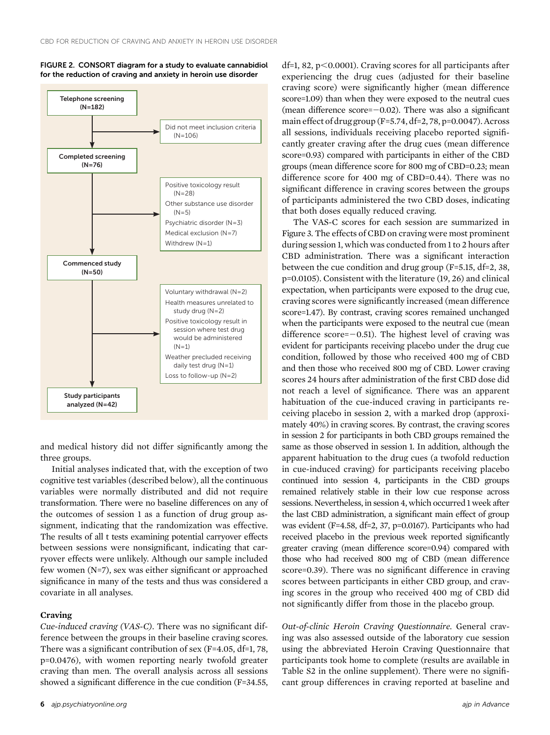

#### FIGURE 2. CONSORT diagram for a study to evaluate cannabidiol for the reduction of craving and anxiety in heroin use disorder

and medical history did not differ significantly among the three groups.

Initial analyses indicated that, with the exception of two cognitive test variables (described below), all the continuous variables were normally distributed and did not require transformation. There were no baseline differences on any of the outcomes of session 1 as a function of drug group assignment, indicating that the randomization was effective. The results of all t tests examining potential carryover effects between sessions were nonsignificant, indicating that carryover effects were unlikely. Although our sample included few women (N=7), sex was either significant or approached significance in many of the tests and thus was considered a covariate in all analyses.

# Craving

Cue-induced craving (VAS-C). There was no significant difference between the groups in their baseline craving scores. There was a significant contribution of sex (F=4.05, df=1, 78, p=0.0476), with women reporting nearly twofold greater craving than men. The overall analysis across all sessions showed a significant difference in the cue condition (F=34.55,

experiencing the drug cues (adjusted for their baseline craving score) were significantly higher (mean difference score=1.09) than when they were exposed to the neutral cues (mean difference score= $-0.02$ ). There was also a significant main effect of drug group (F=5.74, df=2, 78, p=0.0047). Across all sessions, individuals receiving placebo reported significantly greater craving after the drug cues (mean difference score=0.93) compared with participants in either of the CBD groups (mean difference score for 800 mg of CBD=0.23; mean difference score for 400 mg of CBD=0.44). There was no significant difference in craving scores between the groups of participants administered the two CBD doses, indicating that both doses equally reduced craving.

 $df=1$ , 82, p $\leq$ 0.0001). Craving scores for all participants after

The VAS-C scores for each session are summarized in Figure 3. The effects of CBD on craving were most prominent during session 1, which was conducted from 1 to 2 hours after CBD administration. There was a significant interaction between the cue condition and drug group (F=5.15, df=2, 38, p=0.0105). Consistent with the literature (19, 26) and clinical expectation, when participants were exposed to the drug cue, craving scores were significantly increased (mean difference score=1.47). By contrast, craving scores remained unchanged when the participants were exposed to the neutral cue (mean difference score= $-0.51$ ). The highest level of craving was evident for participants receiving placebo under the drug cue condition, followed by those who received 400 mg of CBD and then those who received 800 mg of CBD. Lower craving scores 24 hours after administration of the first CBD dose did not reach a level of significance. There was an apparent habituation of the cue-induced craving in participants receiving placebo in session 2, with a marked drop (approximately 40%) in craving scores. By contrast, the craving scores in session 2 for participants in both CBD groups remained the same as those observed in session 1. In addition, although the apparent habituation to the drug cues (a twofold reduction in cue-induced craving) for participants receiving placebo continued into session 4, participants in the CBD groups remained relatively stable in their low cue response across sessions. Nevertheless, in session 4, which occurred 1 week after the last CBD administration, a significant main effect of group was evident (F=4.58, df=2, 37, p=0.0167). Participants who had received placebo in the previous week reported significantly greater craving (mean difference score=0.94) compared with those who had received 800 mg of CBD (mean difference score=0.39). There was no significant difference in craving scores between participants in either CBD group, and craving scores in the group who received 400 mg of CBD did not significantly differ from those in the placebo group.

Out-of-clinic Heroin Craving Questionnaire. General craving was also assessed outside of the laboratory cue session using the abbreviated Heroin Craving Questionnaire that participants took home to complete (results are available in Table S2 in the online supplement). There were no significant group differences in craving reported at baseline and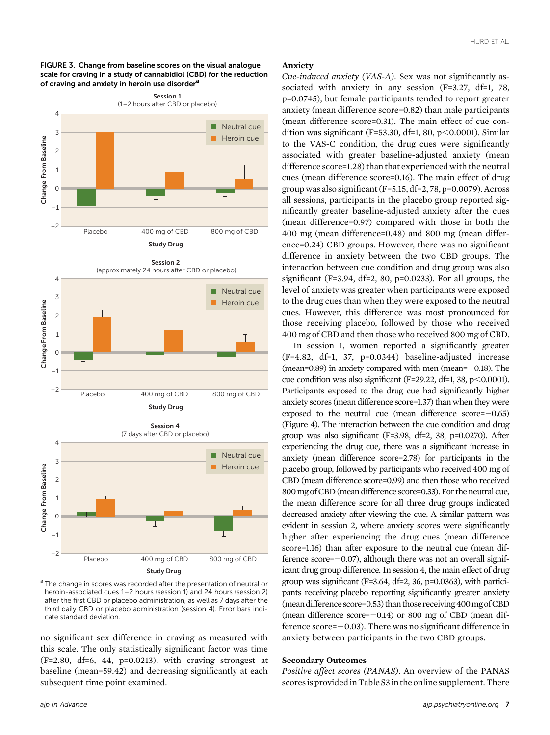





<sup>a</sup> The change in scores was recorded after the presentation of neutral or heroin-associated cues 1-2 hours (session 1) and 24 hours (session 2) after the first CBD or placebo administration, as well as 7 days after the third daily CBD or placebo administration (session 4). Error bars indicate standard deviation.

no significant sex difference in craving as measured with this scale. The only statistically significant factor was time (F=2.80, df=6, 44, p=0.0213), with craving strongest at baseline (mean=59.42) and decreasing significantly at each subsequent time point examined.

#### Anxiety

Cue-induced anxiety (VAS-A). Sex was not significantly associated with anxiety in any session (F=3.27, df=1, 78, p=0.0745), but female participants tended to report greater anxiety (mean difference score=0.82) than male participants (mean difference score=0.31). The main effect of cue condition was significant (F=53.30, df=1, 80,  $p<0.0001$ ). Similar to the VAS-C condition, the drug cues were significantly associated with greater baseline-adjusted anxiety (mean difference score=1.28) than that experienced with the neutral cues (mean difference score=0.16). The main effect of drug group was also significant (F=5.15, df=2, 78, p=0.0079). Across all sessions, participants in the placebo group reported significantly greater baseline-adjusted anxiety after the cues (mean difference=0.97) compared with those in both the 400 mg (mean difference=0.48) and 800 mg (mean difference=0.24) CBD groups. However, there was no significant difference in anxiety between the two CBD groups. The interaction between cue condition and drug group was also significant (F=3.94, df=2, 80,  $p=0.0233$ ). For all groups, the level of anxiety was greater when participants were exposed to the drug cues than when they were exposed to the neutral cues. However, this difference was most pronounced for those receiving placebo, followed by those who received 400 mg of CBD and then those who received 800 mg of CBD.

In session 1, women reported a significantly greater  $(F=4.82, df=1, 37, p=0.0344)$  baseline-adjusted increase (mean=0.89) in anxiety compared with men (mean= $-0.18$ ). The cue condition was also significant (F=29.22, df=1, 38,  $p<0.0001$ ). Participants exposed to the drug cue had significantly higher anxiety scores (mean difference score=1.37) than when they were exposed to the neutral cue (mean difference  $score=-0.65$ ) (Figure 4). The interaction between the cue condition and drug group was also significant (F=3.98, df=2, 38, p=0.0270). After experiencing the drug cue, there was a significant increase in anxiety (mean difference score=2.78) for participants in the placebo group, followed by participants who received 400 mg of CBD (mean difference score=0.99) and then those who received 800mg of CBD (mean difference score=0.33). For the neutral cue, the mean difference score for all three drug groups indicated decreased anxiety after viewing the cue. A similar pattern was evident in session 2, where anxiety scores were significantly higher after experiencing the drug cues (mean difference score=1.16) than after exposure to the neutral cue (mean difference score= $-0.07$ ), although there was not an overall significant drug group difference. In session 4, the main effect of drug group was significant (F=3.64, df=2, 36, p=0.0363), with participants receiving placebo reporting significantly greater anxiety (mean difference score=0.53) than those receiving 400 mg of CBD (mean difference score= $-0.14$ ) or 800 mg of CBD (mean difference score $=-0.03$ ). There was no significant difference in anxiety between participants in the two CBD groups.

## Secondary Outcomes

Positive affect scores (PANAS). An overview of the PANAS scores is provided in Table S3 in the online supplement. There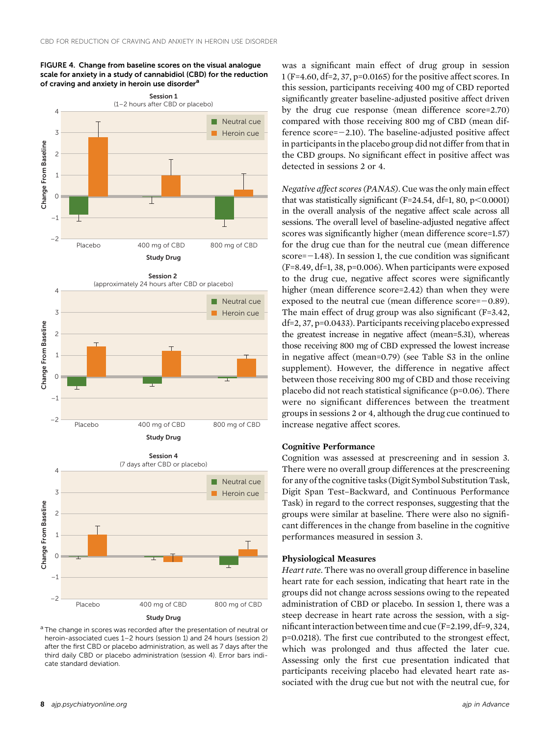

### FIGURE 4. Change from baseline scores on the visual analogue scale for anxiety in a study of cannabidiol (CBD) for the reduction of craving and anxiety in heroin use disorder<sup>a</sup>





<sup>a</sup> The change in scores was recorded after the presentation of neutral or heroin-associated cues 1–2 hours (session 1) and 24 hours (session 2) after the first CBD or placebo administration, as well as 7 days after the third daily CBD or placebo administration (session 4). Error bars indicate standard deviation.

was a significant main effect of drug group in session 1 (F=4.60, df=2, 37, p=0.0165) for the positive affect scores. In this session, participants receiving 400 mg of CBD reported significantly greater baseline-adjusted positive affect driven by the drug cue response (mean difference score=2.70) compared with those receiving 800 mg of CBD (mean difference  $score=-2.10$ ). The baseline-adjusted positive affect in participants in the placebo group did not differ from that in the CBD groups. No significant effect in positive affect was detected in sessions 2 or 4.

Negative affect scores (PANAS). Cue was the only main effect that was statistically significant (F=24.54, df=1, 80,  $p<0.0001$ ) in the overall analysis of the negative affect scale across all sessions. The overall level of baseline-adjusted negative affect scores was significantly higher (mean difference score=1.57) for the drug cue than for the neutral cue (mean difference  $score=-1.48$ ). In session 1, the cue condition was significant (F=8.49, df=1, 38, p=0.006). When participants were exposed to the drug cue, negative affect scores were significantly higher (mean difference score=2.42) than when they were exposed to the neutral cue (mean difference  $score=-0.89$ ). The main effect of drug group was also significant (F=3.42, df=2, 37, p=0.0433). Participants receiving placebo expressed the greatest increase in negative affect (mean=5.31), whereas those receiving 800 mg of CBD expressed the lowest increase in negative affect (mean=0.79) (see Table S3 in the online supplement). However, the difference in negative affect between those receiving 800 mg of CBD and those receiving placebo did not reach statistical significance (p=0.06). There were no significant differences between the treatment groups in sessions 2 or 4, although the drug cue continued to increase negative affect scores.

# Cognitive Performance

Cognition was assessed at prescreening and in session 3. There were no overall group differences at the prescreening for any of the cognitive tasks (Digit Symbol Substitution Task, Digit Span Test–Backward, and Continuous Performance Task) in regard to the correct responses, suggesting that the groups were similar at baseline. There were also no significant differences in the change from baseline in the cognitive performances measured in session 3.

#### Physiological Measures

Heart rate. There was no overall group difference in baseline heart rate for each session, indicating that heart rate in the groups did not change across sessions owing to the repeated administration of CBD or placebo. In session 1, there was a steep decrease in heart rate across the session, with a significant interaction between time and cue (F=2.199, df=9, 324, p=0.0218). The first cue contributed to the strongest effect, which was prolonged and thus affected the later cue. Assessing only the first cue presentation indicated that participants receiving placebo had elevated heart rate associated with the drug cue but not with the neutral cue, for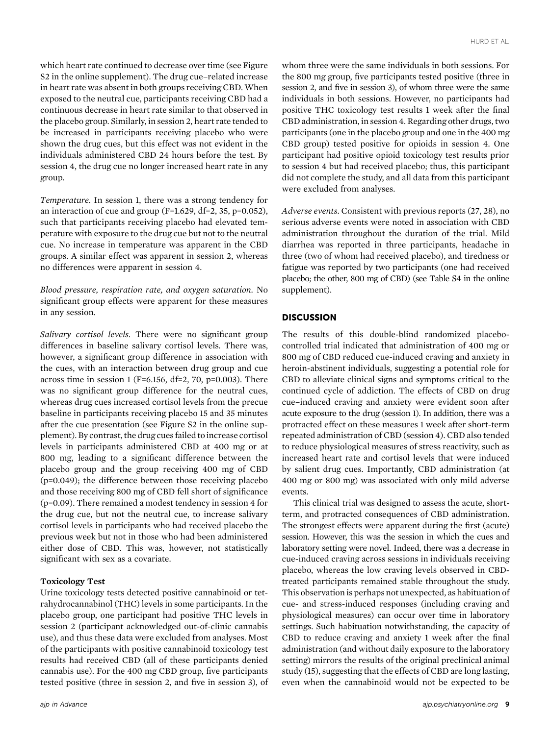HURD ET AL.

which heart rate continued to decrease over time (see Figure S2 in the online supplement). The drug cue–related increase in heart rate was absent in both groups receiving CBD. When exposed to the neutral cue, participants receiving CBD had a continuous decrease in heart rate similar to that observed in the placebo group. Similarly, in session 2, heart rate tended to be increased in participants receiving placebo who were shown the drug cues, but this effect was not evident in the individuals administered CBD 24 hours before the test. By session 4, the drug cue no longer increased heart rate in any group.

Temperature. In session 1, there was a strong tendency for an interaction of cue and group (F=1.629, df=2, 35, p=0.052), such that participants receiving placebo had elevated temperature with exposure to the drug cue but not to the neutral cue. No increase in temperature was apparent in the CBD groups. A similar effect was apparent in session 2, whereas no differences were apparent in session 4.

Blood pressure, respiration rate, and oxygen saturation. No significant group effects were apparent for these measures in any session.

Salivary cortisol levels. There were no significant group differences in baseline salivary cortisol levels. There was, however, a significant group difference in association with the cues, with an interaction between drug group and cue across time in session 1 (F=6.156, df=2, 70, p=0.003). There was no significant group difference for the neutral cues, whereas drug cues increased cortisol levels from the precue baseline in participants receiving placebo 15 and 35 minutes after the cue presentation (see Figure S2 in the online supplement). By contrast, the drug cues failed to increase cortisol levels in participants administered CBD at 400 mg or at 800 mg, leading to a significant difference between the placebo group and the group receiving 400 mg of CBD (p=0.049); the difference between those receiving placebo and those receiving 800 mg of CBD fell short of significance (p=0.09). There remained a modest tendency in session 4 for the drug cue, but not the neutral cue, to increase salivary cortisol levels in participants who had received placebo the previous week but not in those who had been administered either dose of CBD. This was, however, not statistically significant with sex as a covariate.

# Toxicology Test

Urine toxicology tests detected positive cannabinoid or tetrahydrocannabinol (THC) levels in some participants. In the placebo group, one participant had positive THC levels in session 2 (participant acknowledged out-of-clinic cannabis use), and thus these data were excluded from analyses. Most of the participants with positive cannabinoid toxicology test results had received CBD (all of these participants denied cannabis use). For the 400 mg CBD group, five participants tested positive (three in session 2, and five in session 3), of whom three were the same individuals in both sessions. For the 800 mg group, five participants tested positive (three in session 2, and five in session 3), of whom three were the same individuals in both sessions. However, no participants had positive THC toxicology test results 1 week after the final CBD administration, in session 4. Regarding other drugs, two participants (one in the placebo group and one in the 400 mg CBD group) tested positive for opioids in session 4. One participant had positive opioid toxicology test results prior to session 4 but had received placebo; thus, this participant did not complete the study, and all data from this participant were excluded from analyses.

Adverse events. Consistent with previous reports (27, 28), no serious adverse events were noted in association with CBD administration throughout the duration of the trial. Mild diarrhea was reported in three participants, headache in three (two of whom had received placebo), and tiredness or fatigue was reported by two participants (one had received placebo; the other, 800 mg of CBD) (see Table S4 in the online supplement).

# **DISCUSSION**

The results of this double-blind randomized placebocontrolled trial indicated that administration of 400 mg or 800 mg of CBD reduced cue-induced craving and anxiety in heroin-abstinent individuals, suggesting a potential role for CBD to alleviate clinical signs and symptoms critical to the continued cycle of addiction. The effects of CBD on drug cue–induced craving and anxiety were evident soon after acute exposure to the drug (session 1). In addition, there was a protracted effect on these measures 1 week after short-term repeated administration of CBD (session 4). CBD also tended to reduce physiological measures of stress reactivity, such as increased heart rate and cortisol levels that were induced by salient drug cues. Importantly, CBD administration (at 400 mg or 800 mg) was associated with only mild adverse events.

This clinical trial was designed to assess the acute, shortterm, and protracted consequences of CBD administration. The strongest effects were apparent during the first (acute) session. However, this was the session in which the cues and laboratory setting were novel. Indeed, there was a decrease in cue-induced craving across sessions in individuals receiving placebo, whereas the low craving levels observed in CBDtreated participants remained stable throughout the study. This observation is perhaps not unexpected, as habituation of cue- and stress-induced responses (including craving and physiological measures) can occur over time in laboratory settings. Such habituation notwithstanding, the capacity of CBD to reduce craving and anxiety 1 week after the final administration (and without daily exposure to the laboratory setting) mirrors the results of the original preclinical animal study (15), suggesting that the effects of CBD are long lasting, even when the cannabinoid would not be expected to be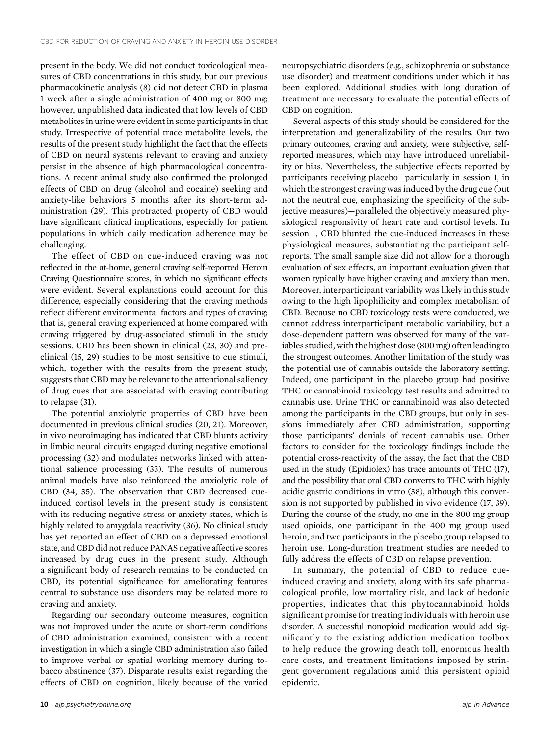present in the body. We did not conduct toxicological measures of CBD concentrations in this study, but our previous pharmacokinetic analysis (8) did not detect CBD in plasma 1 week after a single administration of 400 mg or 800 mg; however, unpublished data indicated that low levels of CBD metabolites in urine were evident in some participants in that study. Irrespective of potential trace metabolite levels, the results of the present study highlight the fact that the effects of CBD on neural systems relevant to craving and anxiety persist in the absence of high pharmacological concentrations. A recent animal study also confirmed the prolonged effects of CBD on drug (alcohol and cocaine) seeking and anxiety-like behaviors 5 months after its short-term administration (29). This protracted property of CBD would have significant clinical implications, especially for patient populations in which daily medication adherence may be challenging.

The effect of CBD on cue-induced craving was not reflected in the at-home, general craving self-reported Heroin Craving Questionnaire scores, in which no significant effects were evident. Several explanations could account for this difference, especially considering that the craving methods reflect different environmental factors and types of craving; that is, general craving experienced at home compared with craving triggered by drug-associated stimuli in the study sessions. CBD has been shown in clinical (23, 30) and preclinical (15, 29) studies to be most sensitive to cue stimuli, which, together with the results from the present study, suggests that CBD may be relevant to the attentional saliency of drug cues that are associated with craving contributing to relapse (31).

The potential anxiolytic properties of CBD have been documented in previous clinical studies (20, 21). Moreover, in vivo neuroimaging has indicated that CBD blunts activity in limbic neural circuits engaged during negative emotional processing (32) and modulates networks linked with attentional salience processing (33). The results of numerous animal models have also reinforced the anxiolytic role of CBD (34, 35). The observation that CBD decreased cueinduced cortisol levels in the present study is consistent with its reducing negative stress or anxiety states, which is highly related to amygdala reactivity (36). No clinical study has yet reported an effect of CBD on a depressed emotional state, and CBD did not reduce PANAS negative affective scores increased by drug cues in the present study. Although a significant body of research remains to be conducted on CBD, its potential significance for ameliorating features central to substance use disorders may be related more to craving and anxiety.

Regarding our secondary outcome measures, cognition was not improved under the acute or short-term conditions of CBD administration examined, consistent with a recent investigation in which a single CBD administration also failed to improve verbal or spatial working memory during tobacco abstinence (37). Disparate results exist regarding the effects of CBD on cognition, likely because of the varied neuropsychiatric disorders (e.g., schizophrenia or substance use disorder) and treatment conditions under which it has been explored. Additional studies with long duration of treatment are necessary to evaluate the potential effects of CBD on cognition.

Several aspects of this study should be considered for the interpretation and generalizability of the results. Our two primary outcomes, craving and anxiety, were subjective, selfreported measures, which may have introduced unreliability or bias. Nevertheless, the subjective effects reported by participants receiving placebo—particularly in session 1, in which the strongest craving was induced by the drug cue (but not the neutral cue, emphasizing the specificity of the subjective measures)—paralleled the objectively measured physiological responsivity of heart rate and cortisol levels. In session 1, CBD blunted the cue-induced increases in these physiological measures, substantiating the participant selfreports. The small sample size did not allow for a thorough evaluation of sex effects, an important evaluation given that women typically have higher craving and anxiety than men. Moreover, interparticipant variability was likely in this study owing to the high lipophilicity and complex metabolism of CBD. Because no CBD toxicology tests were conducted, we cannot address interparticipant metabolic variability, but a dose-dependent pattern was observed for many of the variables studied, with the highest dose (800 mg) often leading to the strongest outcomes. Another limitation of the study was the potential use of cannabis outside the laboratory setting. Indeed, one participant in the placebo group had positive THC or cannabinoid toxicology test results and admitted to cannabis use. Urine THC or cannabinoid was also detected among the participants in the CBD groups, but only in sessions immediately after CBD administration, supporting those participants' denials of recent cannabis use. Other factors to consider for the toxicology findings include the potential cross-reactivity of the assay, the fact that the CBD used in the study (Epidiolex) has trace amounts of THC (17), and the possibility that oral CBD converts to THC with highly acidic gastric conditions in vitro (38), although this conversion is not supported by published in vivo evidence (17, 39). During the course of the study, no one in the 800 mg group used opioids, one participant in the 400 mg group used heroin, and two participants in the placebo group relapsed to heroin use. Long-duration treatment studies are needed to fully address the effects of CBD on relapse prevention.

In summary, the potential of CBD to reduce cueinduced craving and anxiety, along with its safe pharmacological profile, low mortality risk, and lack of hedonic properties, indicates that this phytocannabinoid holds significant promise for treatingindividuals with heroin use disorder. A successful nonopioid medication would add significantly to the existing addiction medication toolbox to help reduce the growing death toll, enormous health care costs, and treatment limitations imposed by stringent government regulations amid this persistent opioid epidemic.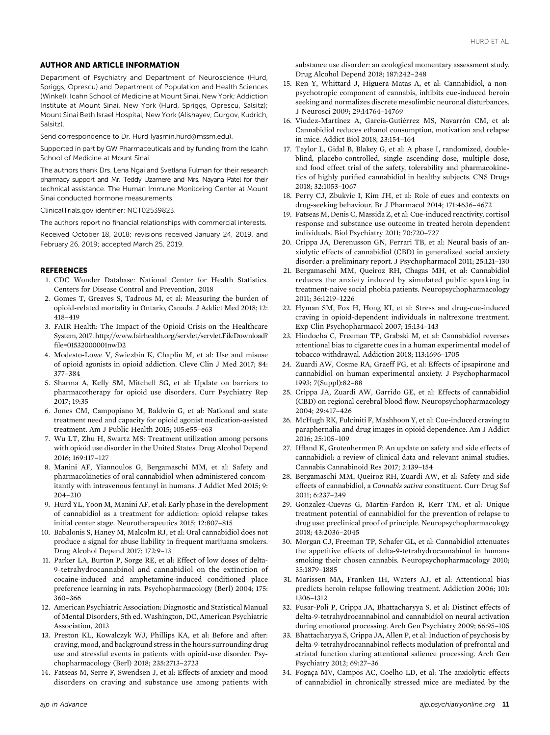#### AUTHOR AND ARTICLE INFORMATION

Department of Psychiatry and Department of Neuroscience (Hurd, Spriggs, Oprescu) and Department of Population and Health Sciences (Winkel), Icahn School of Medicine at Mount Sinai, New York; Addiction Institute at Mount Sinai, New York (Hurd, Spriggs, Oprescu, Salsitz); Mount Sinai Beth Israel Hospital, New York (Alishayev, Gurgov, Kudrich, Salsitz).

Send correspondence to Dr. Hurd [\(yasmin.hurd@mssm.edu\)](mailto:yasmin.hurd@mssm.edu).

Supported in part by GW Pharmaceuticals and by funding from the Icahn School of Medicine at Mount Sinai.

The authors thank Drs. Lena Ngai and Svetlana Fulman for their research pharmacy support and Mr. Teddy Uzamere and Mrs. Nayana Patel for their technical assistance. The Human Immune Monitoring Center at Mount Sinai conducted hormone measurements.

ClinicalTrials.gov identifier: NCT02539823.

The authors report no financial relationships with commercial interests.

Received October 18, 2018; revisions received January 24, 2019, and February 26, 2019; accepted March 25, 2019.

#### **REFERENCES**

- 1. CDC Wonder Database: National Center for Health Statistics. Centers for Disease Control and Prevention, 2018
- 2. Gomes T, Greaves S, Tadrous M, et al: Measuring the burden of opioid-related mortality in Ontario, Canada. J Addict Med 2018; 12: 418–419
- 3. FAIR Health: The Impact of the Opioid Crisis on the Healthcare System, 2017. [http://www.fairhealth.org/servlet/servlet.FileDownload?](http://www.fairhealth.org/servlet/servlet.FileDownload?file=01532000001nwD2) fi[le=01532000001nwD2](http://www.fairhealth.org/servlet/servlet.FileDownload?file=01532000001nwD2)
- 4. Modesto-Lowe V, Swiezbin K, Chaplin M, et al: Use and misuse of opioid agonists in opioid addiction. Cleve Clin J Med 2017; 84: 377–384
- 5. Sharma A, Kelly SM, Mitchell SG, et al: Update on barriers to pharmacotherapy for opioid use disorders. Curr Psychiatry Rep 2017; 19:35
- 6. Jones CM, Campopiano M, Baldwin G, et al: National and state treatment need and capacity for opioid agonist medication-assisted treatment. Am J Public Health 2015; 105:e55–e63
- 7. Wu LT, Zhu H, Swartz MS: Treatment utilization among persons with opioid use disorder in the United States. Drug Alcohol Depend 2016; 169:117–127
- 8. Manini AF, Yiannoulos G, Bergamaschi MM, et al: Safety and pharmacokinetics of oral cannabidiol when administered concomitantly with intravenous fentanyl in humans. J Addict Med 2015; 9: 204–210
- 9. Hurd YL, Yoon M, Manini AF, et al: Early phase in the development of cannabidiol as a treatment for addiction: opioid relapse takes initial center stage. Neurotherapeutics 2015; 12:807–815
- 10. Babalonis S, Haney M, Malcolm RJ, et al: Oral cannabidiol does not produce a signal for abuse liability in frequent marijuana smokers. Drug Alcohol Depend 2017; 172:9–13
- 11. Parker LA, Burton P, Sorge RE, et al: Effect of low doses of delta-9-tetrahydrocannabinol and cannabidiol on the extinction of cocaine-induced and amphetamine-induced conditioned place preference learning in rats. Psychopharmacology (Berl) 2004; 175: 360–366
- 12. American Psychiatric Association: Diagnostic and Statistical Manual of Mental Disorders, 5th ed. Washington, DC, American Psychiatric Association, 2013
- 13. Preston KL, Kowalczyk WJ, Phillips KA, et al: Before and after: craving, mood, and background stress in the hours surrounding drug use and stressful events in patients with opioid-use disorder. Psychopharmacology (Berl) 2018; 235:2713–2723
- 14. Fatseas M, Serre F, Swendsen J, et al: Effects of anxiety and mood disorders on craving and substance use among patients with

substance use disorder: an ecological momentary assessment study. Drug Alcohol Depend 2018; 187:242–248

- 15. Ren Y, Whittard J, Higuera-Matas A, et al: Cannabidiol, a nonpsychotropic component of cannabis, inhibits cue-induced heroin seeking and normalizes discrete mesolimbic neuronal disturbances. J Neurosci 2009; 29:14764–14769
- 16. Viudez-Martínez A, García-Gutiérrez MS, Navarrón CM, et al: Cannabidiol reduces ethanol consumption, motivation and relapse in mice. Addict Biol 2018; 23:154–164
- 17. Taylor L, Gidal B, Blakey G, et al: A phase I, randomized, doubleblind, placebo-controlled, single ascending dose, multiple dose, and food effect trial of the safety, tolerability and pharmacokinetics of highly purified cannabidiol in healthy subjects. CNS Drugs 2018; 32:1053–1067
- 18. Perry CJ, Zbukvic I, Kim JH, et al: Role of cues and contexts on drug-seeking behaviour. Br J Pharmacol 2014; 171:4636–4672
- 19. Fatseas M, Denis C, Massida Z, et al: Cue-induced reactivity, cortisol response and substance use outcome in treated heroin dependent individuals. Biol Psychiatry 2011; 70:720–727
- 20. Crippa JA, Derenusson GN, Ferrari TB, et al: Neural basis of anxiolytic effects of cannabidiol (CBD) in generalized social anxiety disorder: a preliminary report. J Psychopharmacol 2011; 25:121–130
- 21. Bergamaschi MM, Queiroz RH, Chagas MH, et al: Cannabidiol reduces the anxiety induced by simulated public speaking in treatment-naive social phobia patients. Neuropsychopharmacology 2011; 36:1219–1226
- 22. Hyman SM, Fox H, Hong KI, et al: Stress and drug-cue-induced craving in opioid-dependent individuals in naltrexone treatment. Exp Clin Psychopharmacol 2007; 15:134–143
- 23. Hindocha C, Freeman TP, Grabski M, et al: Cannabidiol reverses attentional bias to cigarette cues in a human experimental model of tobacco withdrawal. Addiction 2018; 113:1696–1705
- 24. Zuardi AW, Cosme RA, Graeff FG, et al: Effects of ipsapirone and cannabidiol on human experimental anxiety. J Psychopharmacol 1993; 7(Suppl):82–88
- 25. Crippa JA, Zuardi AW, Garrido GE, et al: Effects of cannabidiol (CBD) on regional cerebral blood flow. Neuropsychopharmacology 2004; 29:417–426
- 26. McHugh RK, Fulciniti F, Mashhoon Y, et al: Cue-induced craving to paraphernalia and drug images in opioid dependence. Am J Addict 2016; 25:105–109
- 27. Iffland K, Grotenhermen F: An update on safety and side effects of cannabidiol: a review of clinical data and relevant animal studies. Cannabis Cannabinoid Res 2017; 2:139–154
- 28. Bergamaschi MM, Queiroz RH, Zuardi AW, et al: Safety and side effects of cannabidiol, a Cannabis sativa constituent. Curr Drug Saf 2011; 6:237–249
- 29. Gonzalez-Cuevas G, Martin-Fardon R, Kerr TM, et al: Unique treatment potential of cannabidiol for the prevention of relapse to drug use: preclinical proof of principle. Neuropsychopharmacology 2018; 43:2036–2045
- 30. Morgan CJ, Freeman TP, Schafer GL, et al: Cannabidiol attenuates the appetitive effects of delta-9-tetrahydrocannabinol in humans smoking their chosen cannabis. Neuropsychopharmacology 2010; 35:1879–1885
- 31. Marissen MA, Franken IH, Waters AJ, et al: Attentional bias predicts heroin relapse following treatment. Addiction 2006; 101: 1306–1312
- 32. Fusar-Poli P, Crippa JA, Bhattacharyya S, et al: Distinct effects of delta-9-tetrahydrocannabinol and cannabidiol on neural activation during emotional processing. Arch Gen Psychiatry 2009; 66:95–105
- 33. Bhattacharyya S, Crippa JA, Allen P, et al: Induction of psychosis by delta-9-tetrahydrocannabinol reflects modulation of prefrontal and striatal function during attentional salience processing. Arch Gen Psychiatry 2012; 69:27–36
- 34. Fogaça MV, Campos AC, Coelho LD, et al: The anxiolytic effects of cannabidiol in chronically stressed mice are mediated by the